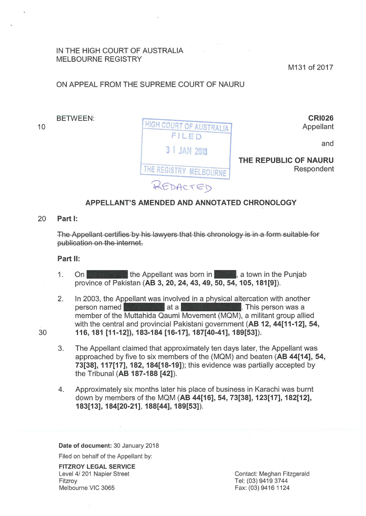### IN THE HIGH COURT OF AUSTRALIA MELBOURNE REGISTRY

M131 of 2017

# ON APPEAL FROM THE SUPREME COURT OF NAURU

BETWEEN:

CRI026 Appellant

and



THE REPUBLIC OF NAURU Respondent

## APPELLANT'S AMENDED AND ANNOTATED CHRONOLOGY

### 20 Part 1:

30

10

The Appellant certifies by his lawyers that this chronology is in a form suitable for publication on the internet.

#### Part 11:

- 1. On the Appellant was born in the Lown in the Punjab province of Pakistan (AB 3, 20, 24, 43, 49, 50, 54, 105, 181[9]).
- 2. In 2003, the Appellant was involved in a physical altercation with another On **and are the Appellant was born in and a**, a town in the Punjab province of Pakistan (AB 3, 20, 24, 43, 49, 50, 54, 105, 181[9]).<br>In 2003, the Appellant was involved in a physical altercation with another person named with the central and provincial Pakistani government (AB 12, 44[11-12], 54, 116, 181 [11-12]), 183-184 [16-17], 187[40-41], 189[53]).
- 3. The Appellant claimed that approximately ten days later, the Appellant was approached by five to six members of the (MQM) and beaten (AB 44[14], 54, 73[38], 117[17], 182, 184[18-19]); this evidence was partially accepted by the Tribunal (AB 187-188 [42]).
- 4. Approximately six months later his place of business in Karachi was burnt down by members of the MQM (AB 44[16], 54, 73[38], 123[17], 182[12], 183[13], 184[20-21], 188[44], 189[53]).

Date of document: 30 January 2018

Filed on behalf of the Appellant by:

FITZROY LEGAL SERVICE Level 4/ 201 Napier Street Fitzroy Melbourne VIC 3065

Contact: Meghan Fitzgerald Tel: (03) 9419 3744 Fax: (03) 9416 1124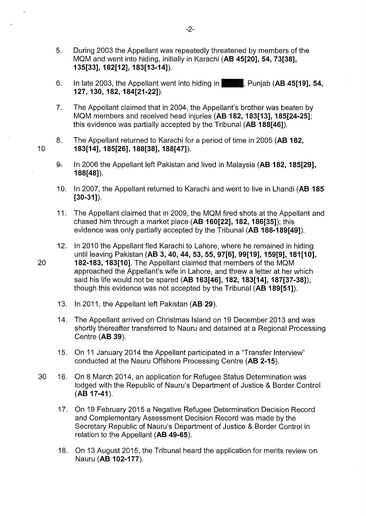- 5. During 2003 the Appellant was repeatedly threatened by members of the MQM and went into hiding, initially in Karachi **(AB 45[20], 54, 73[38], 135[33], 182[12], 183[13-14]).**
- 6. In late 2003, the Appellant went into hiding in-· Punjab **(AB 45[19], 54, 127, 130, 182, 184[21-22]).**
- 7. The Appellant claimed that in 2004, the Appellant's brother was beaten by MQM members and received head injuries **(AB 182, 183[13], 185[24-25];**  this evidence was partially accepted by the Tribunal **(AB 188[46]).**
- 8. The Appellant returned to Karachi for a period of time in 2005 **(AB 182, 183[14], 185[26], 188[38], 188[47]).**
- 9-:- In 2006 the Appellant left Pakistan and lived in Malaysia **(AB 182, 185[29], 188[48]).**
- 10. In 2007, the Appellant returned to Karachi and went to live in Lhandi **(AB 185 [30-31]).**
- 11. The Appellant claimed that in 2009, the MQM fired shots at the Appellant and chased him through a market place **(AB 160[22], 182, 186[35]);** this evidence was only partially accepted by the Tribunal **(AB 188-189[49]).**
- 12. In 2010 the Appellant fled Karachi to Lahore, where he remained in hiding until leaving Pakistan **(AB 3, 40, 44, 53, 55, 97[6], 99[19], 159[9], 181[10], 182-183, 183[10].** The Appellant claimed that members of the MQM approached the Appellant's wife in Lahore, and threw a letter at her which said his life would not be spared **(AB 163[46], 182, 183[14], 187[37-38]),**  though this evidence was not accepted by the Tribunal **(AB 189[51]).**
- 13. In 2011, the Appellant left Pakistan **(AB 29).**

10

20

- 14. The Appellant arrived on Christmas Island on 19 December 2013 and was shortly thereafter transferred to Nauru and detained at a Regional Processing Centre **(AB 39).**
- 15. On 11 January 2014 the Appellant participated in a "Transfer Interview" conducted at the Nauru Offshore Processing Centre **(AB 2-15).**
- 30 16. On 8 March 2014, an application for Refugee Status Determination was lodged with the Republic of Nauru's Department of Justice & Border Control **(AB 17-41** ).
	- 17. On 19 February 2015 a Negative Refugee Determination Decision Record and Complementary Assessment Decision Record was made by the Secretary Republic of Nauru's Department of Justice & Border Control in relation to the Appellant **(AB 49-65).**
	- 18. On 13 August 2015, the Tribunal heard the application for merits review on Nauru (AB 102-177).